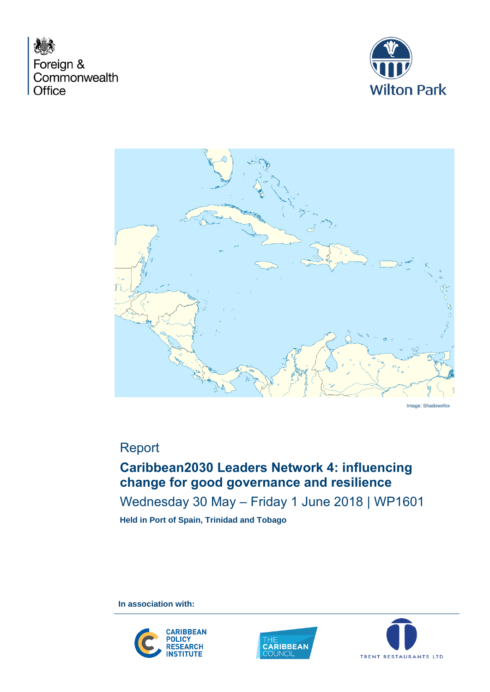





Image: Shadowxfox

# Report

## **Caribbean2030 Leaders Network 4: influencing change for good governance and resilience**

Wednesday 30 May – Friday 1 June 2018 | WP1601

**Held in Port of Spain, Trinidad and Tobago**

**In association with:** 





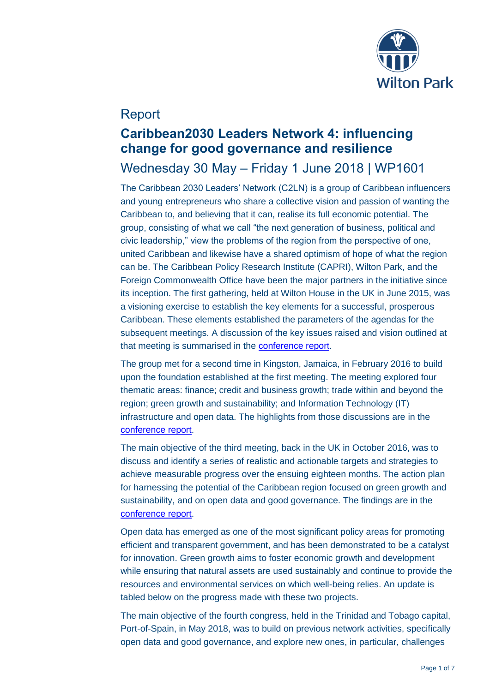

## Report

## **Caribbean2030 Leaders Network 4: influencing change for good governance and resilience**

## Wednesday 30 May – Friday 1 June 2018 | WP1601

The Caribbean 2030 Leaders' Network (C2LN) is a group of Caribbean influencers and young entrepreneurs who share a collective vision and passion of wanting the Caribbean to, and believing that it can, realise its full economic potential. The group, consisting of what we call "the next generation of business, political and civic leadership," view the problems of the region from the perspective of one, united Caribbean and likewise have a shared optimism of hope of what the region can be. The Caribbean Policy Research Institute (CAPRI), Wilton Park, and the Foreign Commonwealth Office have been the major partners in the initiative since its inception. The first gathering, held at Wilton House in the UK in June 2015, was a visioning exercise to establish the key elements for a successful, prosperous Caribbean. These elements established the parameters of the agendas for the subsequent meetings. A discussion of the key issues raised and vision outlined at that meeting is summarised in the [conference report.](https://www.wiltonpark.org.uk/wp-content/uploads/WP1404-Report.pdf)

The group met for a second time in Kingston, Jamaica, in February 2016 to build upon the foundation established at the first meeting. The meeting explored four thematic areas: finance; credit and business growth; trade within and beyond the region; green growth and sustainability; and Information Technology (IT) infrastructure and open data. The highlights from those discussions are in the [conference](https://www.wiltonpark.org.uk/wp-content/uploads/WP1462-Report.pdf) report.

The main objective of the third meeting, back in the UK in October 2016, was to discuss and identify a series of realistic and actionable targets and strategies to achieve measurable progress over the ensuing eighteen months. The action plan for harnessing the potential of the Caribbean region focused on green growth and sustainability, and on open data and good governance. The findings are in the [conference report.](https://www.wiltonpark.org.uk/wp-content/uploads/WP1513-Report.pdf)

Open data has emerged as one of the most significant policy areas for promoting efficient and transparent government, and has been demonstrated to be a catalyst for innovation. Green growth aims to foster economic growth and development while ensuring that natural assets are used sustainably and continue to provide the resources and environmental services on which well-being relies. An update is tabled below on the progress made with these two projects.

The main objective of the fourth congress, held in the Trinidad and Tobago capital, Port-of-Spain, in May 2018, was to build on previous network activities, specifically open data and good governance, and explore new ones, in particular, challenges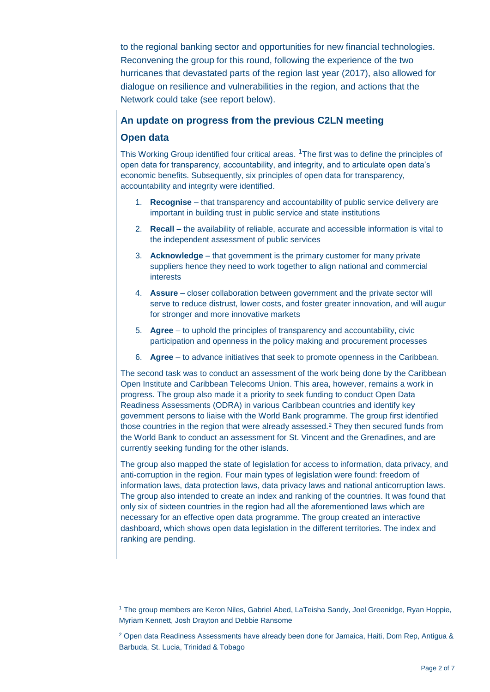to the regional banking sector and opportunities for new financial technologies. Reconvening the group for this round, following the experience of the two hurricanes that devastated parts of the region last year (2017), also allowed for dialogue on resilience and vulnerabilities in the region, and actions that the Network could take (see report below).

### **An update on progress from the previous C2LN meeting**

### **Open data**

This Working Group identified four critical areas. <sup>1</sup>The first was to define the principles of open data for transparency, accountability, and integrity, and to articulate open data's economic benefits. Subsequently, six principles of open data for transparency, accountability and integrity were identified.

- 1. **Recognise** that transparency and accountability of public service delivery are important in building trust in public service and state institutions
- 2. **Recall** the availability of reliable, accurate and accessible information is vital to the independent assessment of public services
- 3. **Acknowledge** that government is the primary customer for many private suppliers hence they need to work together to align national and commercial interests
- 4. **Assure** closer collaboration between government and the private sector will serve to reduce distrust, lower costs, and foster greater innovation, and will augur for stronger and more innovative markets
- 5. **Agree** to uphold the principles of transparency and accountability, civic participation and openness in the policy making and procurement processes
- 6. **Agree** to advance initiatives that seek to promote openness in the Caribbean.

The second task was to conduct an assessment of the work being done by the Caribbean Open Institute and Caribbean Telecoms Union. This area, however, remains a work in progress. The group also made it a priority to seek funding to conduct Open Data Readiness Assessments (ODRA) in various Caribbean countries and identify key government persons to liaise with the World Bank programme. The group first identified those countries in the region that were already assessed.<sup>2</sup> They then secured funds from the World Bank to conduct an assessment for St. Vincent and the Grenadines, and are currently seeking funding for the other islands.

The group also mapped the state of legislation for access to information, data privacy, and anti-corruption in the region. Four main types of legislation were found: freedom of information laws, data protection laws, data privacy laws and national anticorruption laws. The group also intended to create an index and ranking of the countries. It was found that only six of sixteen countries in the region had all the aforementioned laws which are necessary for an effective open data programme. The group created an interactive dashboard, which shows open data legislation in the different territories. The index and ranking are pending.

<sup>1</sup> The group members are Keron Niles, Gabriel Abed, LaTeisha Sandy, Joel Greenidge, Ryan Hoppie, Myriam Kennett, Josh Drayton and Debbie Ransome

 $2$  Open data Readiness Assessments have already been done for Jamaica, Haiti, Dom Rep, Antigua & Barbuda, St. Lucia, Trinidad & Tobago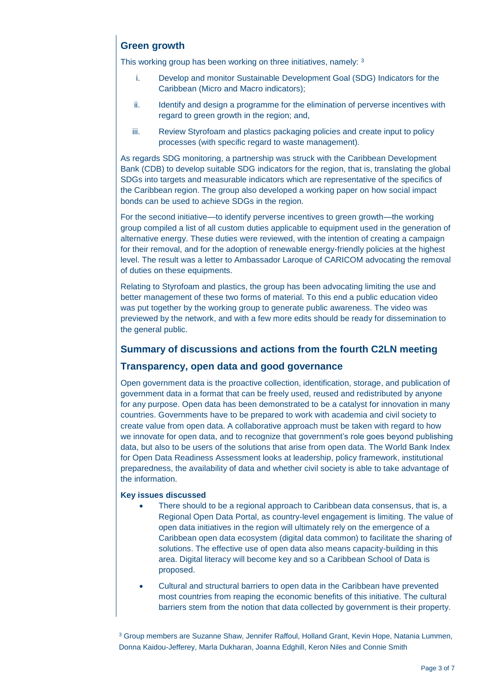## **Green growth**

This working group has been working on three initiatives, namely: 3

- i. Develop and monitor Sustainable Development Goal (SDG) Indicators for the Caribbean (Micro and Macro indicators);
- ii. Identify and design a programme for the elimination of perverse incentives with regard to green growth in the region; and,
- iii. Review Styrofoam and plastics packaging policies and create input to policy processes (with specific regard to waste management).

As regards SDG monitoring, a partnership was struck with the Caribbean Development Bank (CDB) to develop suitable SDG indicators for the region, that is, translating the global SDGs into targets and measurable indicators which are representative of the specifics of the Caribbean region. The group also developed a working paper on how social impact bonds can be used to achieve SDGs in the region.

For the second initiative—to identify perverse incentives to green growth—the working group compiled a list of all custom duties applicable to equipment used in the generation of alternative energy. These duties were reviewed, with the intention of creating a campaign for their removal, and for the adoption of renewable energy-friendly policies at the highest level. The result was a letter to Ambassador Laroque of CARICOM advocating the removal of duties on these equipments.

Relating to Styrofoam and plastics, the group has been advocating limiting the use and better management of these two forms of material. To this end a public education video was put together by the working group to generate public awareness. The video was previewed by the network, and with a few more edits should be ready for dissemination to the general public.

## **Summary of discussions and actions from the fourth C2LN meeting**

### **Transparency, open data and good governance**

Open government data is the proactive collection, identification, storage, and publication of government data in a format that can be freely used, reused and redistributed by anyone for any purpose. Open data has been demonstrated to be a catalyst for innovation in many countries. Governments have to be prepared to work with academia and civil society to create value from open data. A collaborative approach must be taken with regard to how we innovate for open data, and to recognize that government's role goes beyond publishing data, but also to be users of the solutions that arise from open data. The World Bank Index for Open Data Readiness Assessment looks at leadership, policy framework, institutional preparedness, the availability of data and whether civil society is able to take advantage of the information.

#### **Key issues discussed**

- There should to be a regional approach to Caribbean data consensus, that is, a Regional Open Data Portal, as country-level engagement is limiting. The value of open data initiatives in the region will ultimately rely on the emergence of a Caribbean open data ecosystem (digital data common) to facilitate the sharing of solutions. The effective use of open data also means capacity-building in this area. Digital literacy will become key and so a Caribbean School of Data is proposed.
- Cultural and structural barriers to open data in the Caribbean have prevented most countries from reaping the economic benefits of this initiative. The cultural barriers stem from the notion that data collected by government is their property.

<sup>3</sup> Group members are Suzanne Shaw, Jennifer Raffoul, Holland Grant, Kevin Hope, Natania Lummen, Donna Kaidou-Jefferey, Marla Dukharan, Joanna Edghill, Keron Niles and Connie Smith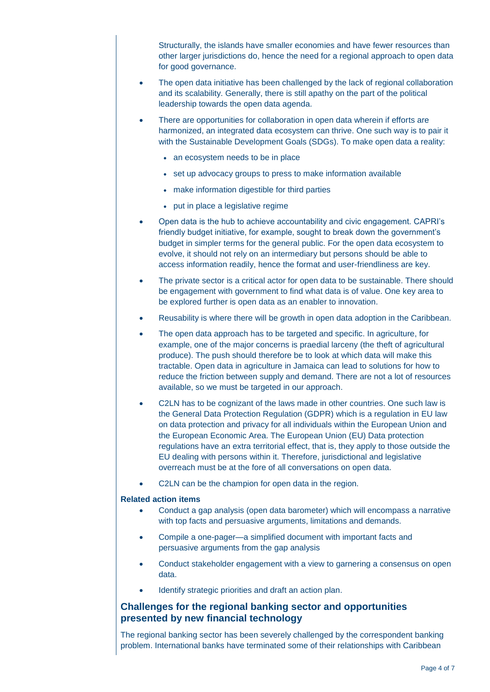Structurally, the islands have smaller economies and have fewer resources than other larger jurisdictions do, hence the need for a regional approach to open data for good governance.

- The open data initiative has been challenged by the lack of regional collaboration and its scalability. Generally, there is still apathy on the part of the political leadership towards the open data agenda.
- There are opportunities for collaboration in open data wherein if efforts are harmonized, an integrated data ecosystem can thrive. One such way is to pair it with the Sustainable Development Goals (SDGs). To make open data a reality:
	- an ecosystem needs to be in place
	- set up advocacy groups to press to make information available
	- make information digestible for third parties
	- put in place a legislative regime
- Open data is the hub to achieve accountability and civic engagement. CAPRI's friendly budget initiative, for example, sought to break down the government's budget in simpler terms for the general public. For the open data ecosystem to evolve, it should not rely on an intermediary but persons should be able to access information readily, hence the format and user-friendliness are key.
- The private sector is a critical actor for open data to be sustainable. There should be engagement with government to find what data is of value. One key area to be explored further is open data as an enabler to innovation.
- Reusability is where there will be growth in open data adoption in the Caribbean.
- The open data approach has to be targeted and specific. In agriculture, for example, one of the major concerns is praedial larceny (the theft of agricultural produce). The push should therefore be to look at which data will make this tractable. Open data in agriculture in Jamaica can lead to solutions for how to reduce the friction between supply and demand. There are not a lot of resources available, so we must be targeted in our approach.
- C2LN has to be cognizant of the laws made in other countries. One such law is the General Data Protection Regulation (GDPR) which is a regulation in EU law on data protection and privacy for all individuals within the European Union and the European Economic Area. The European Union (EU) Data protection regulations have an extra territorial effect, that is, they apply to those outside the EU dealing with persons within it. Therefore, jurisdictional and legislative overreach must be at the fore of all conversations on open data.
- C2LN can be the champion for open data in the region.

#### **Related action items**

- Conduct a gap analysis (open data barometer) which will encompass a narrative with top facts and persuasive arguments, limitations and demands.
- Compile a one-pager—a simplified document with important facts and persuasive arguments from the gap analysis
- Conduct stakeholder engagement with a view to garnering a consensus on open data.
- Identify strategic priorities and draft an action plan.

### **Challenges for the regional banking sector and opportunities presented by new financial technology**

The regional banking sector has been severely challenged by the correspondent banking problem. International banks have terminated some of their relationships with Caribbean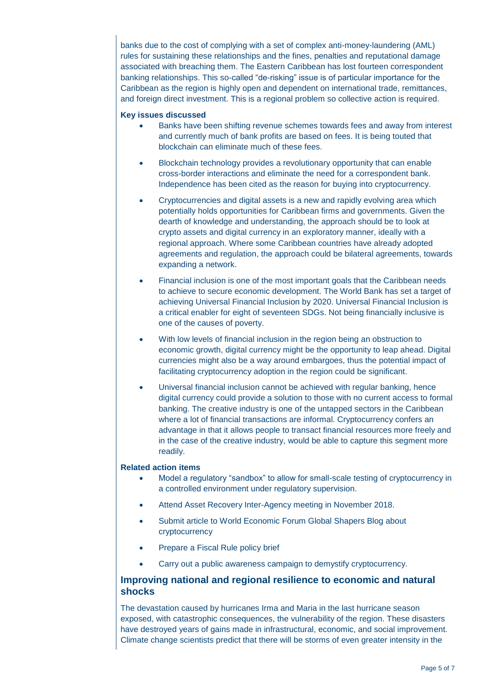banks due to the cost of complying with a set of complex anti-money-laundering (AML) rules for sustaining these relationships and the fines, penalties and reputational damage associated with breaching them. The Eastern Caribbean has lost fourteen correspondent banking relationships. This so-called "de-risking" issue is of particular importance for the Caribbean as the region is highly open and dependent on international trade, remittances, and foreign direct investment. This is a regional problem so collective action is required.

#### **Key issues discussed**

- Banks have been shifting revenue schemes towards fees and away from interest and currently much of bank profits are based on fees. It is being touted that blockchain can eliminate much of these fees.
- Blockchain technology provides a revolutionary opportunity that can enable cross-border interactions and eliminate the need for a correspondent bank. Independence has been cited as the reason for buying into cryptocurrency.
- Cryptocurrencies and digital assets is a new and rapidly evolving area which potentially holds opportunities for Caribbean firms and governments. Given the dearth of knowledge and understanding, the approach should be to look at crypto assets and digital currency in an exploratory manner, ideally with a regional approach. Where some Caribbean countries have already adopted agreements and regulation, the approach could be bilateral agreements, towards expanding a network.
- Financial inclusion is one of the most important goals that the Caribbean needs to achieve to secure economic development. The World Bank has set a target of achieving Universal Financial Inclusion by 2020. Universal Financial Inclusion is a critical enabler for eight of seventeen SDGs. Not being financially inclusive is one of the causes of poverty.
- With low levels of financial inclusion in the region being an obstruction to economic growth, digital currency might be the opportunity to leap ahead. Digital currencies might also be a way around embargoes, thus the potential impact of facilitating cryptocurrency adoption in the region could be significant.
- Universal financial inclusion cannot be achieved with regular banking, hence digital currency could provide a solution to those with no current access to formal banking. The creative industry is one of the untapped sectors in the Caribbean where a lot of financial transactions are informal. Cryptocurrency confers an advantage in that it allows people to transact financial resources more freely and in the case of the creative industry, would be able to capture this segment more readily.

#### **Related action items**

- Model a regulatory "sandbox" to allow for small-scale testing of cryptocurrency in a controlled environment under regulatory supervision.
- Attend Asset Recovery Inter-Agency meeting in November 2018.
- Submit article to World Economic Forum Global Shapers Blog about cryptocurrency
- Prepare a Fiscal Rule policy brief
- Carry out a public awareness campaign to demystify cryptocurrency.

### **Improving national and regional resilience to economic and natural shocks**

The devastation caused by hurricanes Irma and Maria in the last hurricane season exposed, with catastrophic consequences, the vulnerability of the region. These disasters have destroyed years of gains made in infrastructural, economic, and social improvement. Climate change scientists predict that there will be storms of even greater intensity in the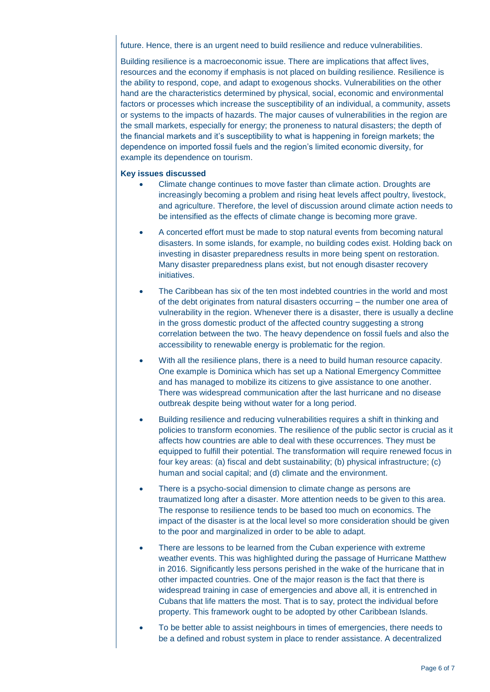future. Hence, there is an urgent need to build resilience and reduce vulnerabilities.

Building resilience is a macroeconomic issue. There are implications that affect lives, resources and the economy if emphasis is not placed on building resilience. Resilience is the ability to respond, cope, and adapt to exogenous shocks. Vulnerabilities on the other hand are the characteristics determined by physical, social, economic and environmental factors or processes which increase the susceptibility of an individual, a community, assets or systems to the impacts of hazards. The major causes of vulnerabilities in the region are the small markets, especially for energy; the proneness to natural disasters; the depth of the financial markets and it's susceptibility to what is happening in foreign markets; the dependence on imported fossil fuels and the region's limited economic diversity, for example its dependence on tourism.

#### **Key issues discussed**

- Climate change continues to move faster than climate action. Droughts are increasingly becoming a problem and rising heat levels affect poultry, livestock, and agriculture. Therefore, the level of discussion around climate action needs to be intensified as the effects of climate change is becoming more grave.
- A concerted effort must be made to stop natural events from becoming natural disasters. In some islands, for example, no building codes exist. Holding back on investing in disaster preparedness results in more being spent on restoration. Many disaster preparedness plans exist, but not enough disaster recovery initiatives.
- The Caribbean has six of the ten most indebted countries in the world and most of the debt originates from natural disasters occurring – the number one area of vulnerability in the region. Whenever there is a disaster, there is usually a decline in the gross domestic product of the affected country suggesting a strong correlation between the two. The heavy dependence on fossil fuels and also the accessibility to renewable energy is problematic for the region.
- With all the resilience plans, there is a need to build human resource capacity. One example is Dominica which has set up a National Emergency Committee and has managed to mobilize its citizens to give assistance to one another. There was widespread communication after the last hurricane and no disease outbreak despite being without water for a long period.
- Building resilience and reducing vulnerabilities requires a shift in thinking and policies to transform economies. The resilience of the public sector is crucial as it affects how countries are able to deal with these occurrences. They must be equipped to fulfill their potential. The transformation will require renewed focus in four key areas: (a) fiscal and debt sustainability; (b) physical infrastructure; (c) human and social capital; and (d) climate and the environment.
- There is a psycho-social dimension to climate change as persons are traumatized long after a disaster. More attention needs to be given to this area. The response to resilience tends to be based too much on economics. The impact of the disaster is at the local level so more consideration should be given to the poor and marginalized in order to be able to adapt.
- There are lessons to be learned from the Cuban experience with extreme weather events. This was highlighted during the passage of Hurricane Matthew in 2016. Significantly less persons perished in the wake of the hurricane that in other impacted countries. One of the major reason is the fact that there is widespread training in case of emergencies and above all, it is entrenched in Cubans that life matters the most. That is to say, protect the individual before property. This framework ought to be adopted by other Caribbean Islands.
- To be better able to assist neighbours in times of emergencies, there needs to be a defined and robust system in place to render assistance. A decentralized